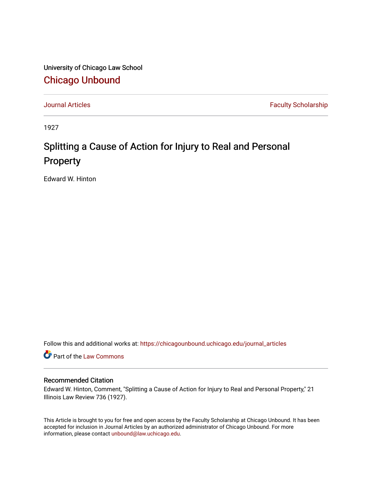University of Chicago Law School [Chicago Unbound](https://chicagounbound.uchicago.edu/)

[Journal Articles](https://chicagounbound.uchicago.edu/journal_articles) **Faculty Scholarship Faculty Scholarship** 

1927

## Splitting a Cause of Action for Injury to Real and Personal Property

Edward W. Hinton

Follow this and additional works at: [https://chicagounbound.uchicago.edu/journal\\_articles](https://chicagounbound.uchicago.edu/journal_articles?utm_source=chicagounbound.uchicago.edu%2Fjournal_articles%2F9394&utm_medium=PDF&utm_campaign=PDFCoverPages) 

Part of the [Law Commons](http://network.bepress.com/hgg/discipline/578?utm_source=chicagounbound.uchicago.edu%2Fjournal_articles%2F9394&utm_medium=PDF&utm_campaign=PDFCoverPages)

## Recommended Citation

Edward W. Hinton, Comment, "Splitting a Cause of Action for Injury to Real and Personal Property," 21 Illinois Law Review 736 (1927).

This Article is brought to you for free and open access by the Faculty Scholarship at Chicago Unbound. It has been accepted for inclusion in Journal Articles by an authorized administrator of Chicago Unbound. For more information, please contact [unbound@law.uchicago.edu](mailto:unbound@law.uchicago.edu).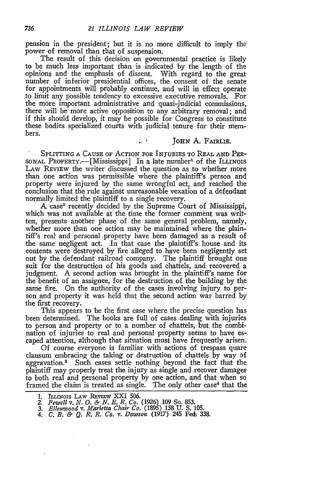pension in the president; but it is no more difficult to imply the power of removal than that of suspension.

The result of this decision on governmental practice is likely to be much less important than is indicated by the length of the opinions and the emphasis of dissent. With regard to the great number of inferior presidential offices, the consent of the senate for appointments will probably continue, and will in effect operate to limit any possible tendency to excessive executive removals. For the more important administrative and quasi-judicial commissions, there will be more active opposition to any arbitrary removal; and if this should develop, it may be possible for Congress to constitute these bodies specialized courts with judicial tenure for their members.

## **JOHN** A. FAIRLIE.

SPLITTING **A** CAUSE OF ACTION FOR INJURIES TO **REAL AND** PER-SONAL PROPERTY.—[Mississippi] In a late number<sup>1</sup> of the ILLINOIS LAW REVIEW the writer discussed the question as to whether more than one action was permissible where the plaintiff's person and property were injured by the same wrongful act, and reached the conclusion that the rule against unreasonable vexation of a defendant normally limited the plaintiff to a single recovery.

 $\mathcal{L}_{\text{max}}$  .

A case2 recently decided by the Supreme Court of Mississippi, which was not available at the time the former comment was written, presents another phase of the same general problem, namely, whether more than one action may be maintained where the plaintiff's real and personal property have been damaged as a result of the same negligent act. In that case the plaintiff's house and its contents were destroyed by fire alleged to have been negligently set out by the defendant railroad company. The plaintiff brought one suit for the destruction of his goods and chattels, and recovered a judgment. A second action was brought in the plaintiff's name for the benefit of an assignee, for the destruction of the building by the same fire. On the authority of the cases involving injury to person and property it was held that the second action was barred by the first recovery.

This appears to be the first case where the precise question has been determined. The books are full of cases dealing with injuries to person and property or to a number of chattels, but the combination of injuries to real and personal property seems to have escaped attention, although that situation must have frequently arisen.

Of course everyone is familiar with actions of trespass quare clausum embracing the taking or destruction of chattels by way of aggravation.3 Such cases settle nothing beyond the fact that the plaintiff may properly treat the injury as single and recover damages to both real and personal property by one action, and that when so framed the claim is treated as single. The only other case<sup>4</sup> that the

**<sup>1.</sup>** ILLINOIS LAW **REVIEW** XXI 506.

*<sup>2.</sup> Fewell v. N. 0. & N. E. R. Co.* **(1926)** 109 So. 853.

*<sup>3.</sup> Ellenwood v. Marietta Chair Co.* (1895) 158 U. S. 105.

*<sup>4.</sup> C. B. & Q. R. R. Co. v. Dawson* **(1917)** 245 Fed-. **338.**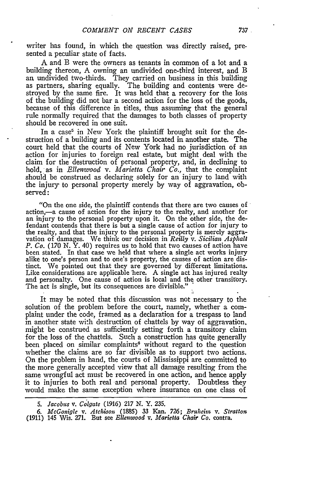writer has found, in which the question was directly raised, presented a peculiar state of facts.

A and B were the owners as tenants in common of a lot and a building thereon, A owning an undivided one-third interest, and B an undivided two-thirds. They carried on business in this building as partners, sharing equally. The building and contents were destroyed by the same fire. It was held that a recovery for the loss of the building did not bar a second action for the loss of the goods, because of this difference in titles, thus assuming that the general rule normally required that the damages to both classes of property should be recovered in one suit.

In a case<sup>5</sup> in New York the plaintiff brought suit for the destruction of a building and its contents located in another state. The court held that the courts of New York had no jurisdiction of an action for injuries to foreign real estate, but might deal with the claim for the destruction of personal property, and, in declining to hold, as in *Ellenwood v. Marietta Chair Co.*, that the complaint should be construed as declaring solely for an injury to land with the injury to personal property merely by way of aggravation, observed:

"On the one side, the plaintiff contends that there are two causes of action,-a cause of action for the injury to the realty, and another for an injury to the personal property upon it. On the other side, the defendant contends that there is but a single cause of action for injury to the realty, and that the injury to the personal property is merely aggravation of damages. We think our decision in *Reilly v. Sicilian Asphalt P. Co.* (170 N. Y. 40) requires us to hold that two causes of action have been stated. In that case we held that where a single act works injury alike to one's person and to one's property, the causes of action are distinct. We pointed out that they are governed by different limitations Like considerations are applicable here. A single act has injured realty and personalty. One cause of action is local and the other transitory. The act is single, but its consequences are divisible."

It may be noted that this discussion was not necessary to the solution of the problem before the court, namely, whether a complaint under the code, framed as a declaration for a trespass to land in another state with destruction of chattels by way of aggravation. might be construed as sufficiently setting forth a transitory claim for the loss of the chattels. Such a construction has quite generally been placed on similar complaints<sup>6</sup> without regard to the question whether the claims are so far divisible as to support two actions. On the problem in hand, the courts of Mississippi are committed to the more generally accepted view that all damage resulting from the same wrongful act must be recovered in one action, and hence apply it to injuries to both real and personal property. Doubtless they would make the same exception where insurance on one class of

*5. Jacobus V. Colgate* (1916) **217 N.** Y. 235.

*6. McGonigle v. Atchison* (1885) **33** Kan. **726;** *Bruhein v. Stratton* (1911) 145 Wis. 271. But see *Ellenwood v. Marietta Chair Co.* contra.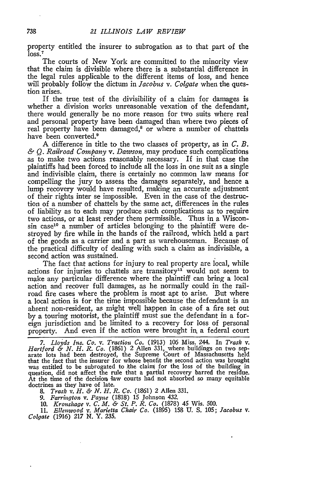property entitled the insurer to subrogation as to that part of the  $\bar{l}$ oss.<sup>7</sup>

The courts of New York are committed to the minority view that the claim is divisible where there is a substantial difference in the legal rules applicable to the different items of loss, and hence will probably follow the dictum in *Jacobus v. Colgate* when the question arises.

If the true test of the divisibility of a claim for damages is whether a division works unreasonable vexation of the defendant, there would generally be no more reason for two suits where real and personal property have been damaged than where two pieces of real property have been damaged,<sup>8</sup> or where a number of chattels have been converted.<sup>9</sup>

A difference in title to the two classes of property, as in *C. B. &* Q. *Railroad Company v. Dawson,* may produce such complications as to make two actions reasonably necessary. If in that case the plaintiffs had been forced to include all the loss in one suit as a single and indivisible claim, there is certainly no common law means for compelling the jury to assess the damages separately, and hence a lump recovery would have resulted, making an accurate adjustment of their rights inter se impossible. Even in the case of the destruction of a number of chattels by the same act, differences in the rules of liability as to each may produce such complications as to require two actions, or at least render them permissible. Thus in a Wisconsin case<sup>10</sup> a number of articles belonging to the plaintiff were destroyed by fire while in the hands of the railroad, which held a part of the goods as a carrier and a part as warehouseman. Because of the practical difficulty of dealing with such a claim as indivisible, a second action was sustained.

The fact that actions for injury to real property are local, while actions for injuries to chattels are transitory<sup>11</sup> would not seem to make any particular difference where the plaintiff can bring a local action and recover full damages, as he normally could in the railroad fire cases where the problem is most apt to arise. But where a local action is for the time impossible because the defendant is an absent non-resident, as might well happen in case of a fire set out by a touring motorist, the plaintiff must sue the defendant in a foreign jurisdiction and be limited to a recovery for loss of personal property. And even if the action were brought *in,* a federal court

*7. Lloyds Ins. Co. v. Traction Co.* (1913) 106 Miss. 244. In *Trask v. Hartford & N. H. R. Co.* (1861) 2 Allen 331, where buildings on two sep-arate lots had been destroyed, the Supreme Court of Massachusetts held that the fact that the insurer for whose benefit the second action was brought was entitled to be subrogated to the claim for the loss of the building in was entitled to be subrogated to the claim for the loss of the building in question, did not affect the rule that a partial recovery barred the residue. At the time of the decision law courts had not absorbed so many equitable doctrines as they have of late. *8. Trask v. H. &. N. H. R. Co.* (1861) 2 Allen 331.

*9. Farrington v. Payne* (1818) 15 Johnson 432.

10. *Kronshage v. C. M. & St. P. R. Co.* (1878) 45 Wis. 500.

11. *Ellenwood v. Marietta Chair Co.* (1895) 158 **U.** S. 105; *Jacobus v. Colgate* (1916) 217 *N.* Y. 235.